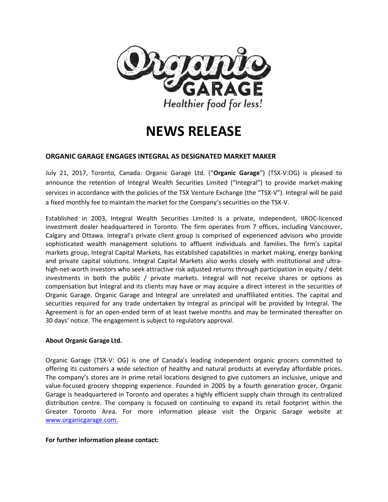

# **NEWS RELEASE**

## **ORGANIC GARAGE ENGAGES INTEGRAL AS DESIGNATED MARKET MAKER**

July 21, 2017, Toronto, Canada: Organic Garage Ltd. ("**Organic Garage**") (TSX-V:OG) is pleased to announce the retention of Integral Wealth Securities Limited ("Integral") to provide market-making services in accordance with the policies of the TSX Venture Exchange (the "TSX-V"). Integral will be paid a fixed monthly fee to maintain the market for the Company's securities on the TSX-V.

Established in 2003, Integral Wealth Securities Limited is a private, independent, IIROC-licenced investment dealer headquartered in Toronto. The firm operates from 7 offices, including Vancouver, Calgary and Ottawa. Integral's private client group is comprised of experienced advisors who provide sophisticated wealth management solutions to affluent individuals and families. The firm's capital markets group, Integral Capital Markets, has established capabilities in market making, energy banking and private capital solutions. Integral Capital Markets also works closely with institutional and ultrahigh-net-worth investors who seek attractive risk adjusted returns through participation in equity / debt investments in both the public / private markets. Integral will not receive shares or options as compensation but Integral and its clients may have or may acquire a direct interest in the securities of Organic Garage. Organic Garage and Integral are unrelated and unaffiliated entities. The capital and securities required for any trade undertaken by Integral as principal will be provided by Integral. The Agreement is for an open-ended term of at least twelve months and may be terminated thereafter on 30 days' notice. The engagement is subject to regulatory approval.

#### **About Organic Garage Ltd.**

Organic Garage (TSX-V: OG) is one of Canada's leading independent organic grocers committed to offering its customers a wide selection of healthy and natural products at everyday affordable prices. The company's stores are in prime retail locations designed to give customers an inclusive, unique and value-focused grocery shopping experience. Founded in 2005 by a fourth generation grocer, Organic Garage is headquartered in Toronto and operates a highly efficient supply chain through its centralized distribution centre. The company is focused on continuing to expand its retail footprint within the Greater Toronto Area. For more information please visit the Organic Garage website at [www.organicgarage.com.](http://www.organicgarage.com/)

#### **For further information please contact:**